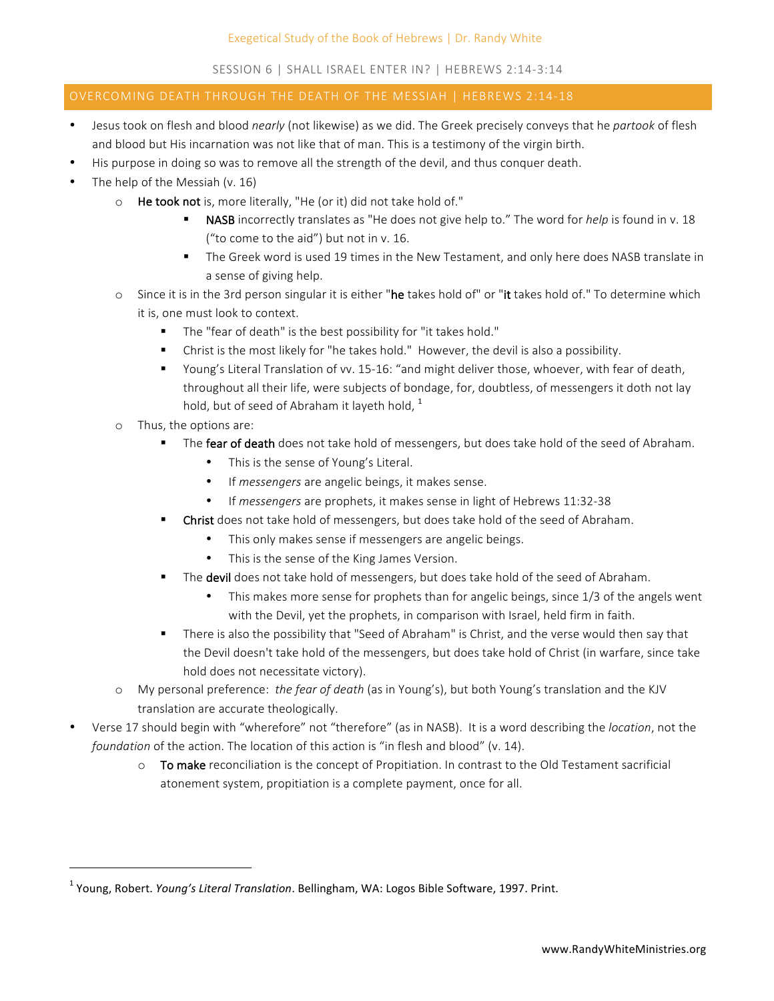## SESSION 6 | SHALL ISRAEL ENTER IN? | HEBREWS 2:14-3:14

## OVERCOMING DEATH THROUGH THE DEATH OF THE MESSIAH | HEBREWS 2:14-18

- Jesus took on flesh and blood *nearly* (not likewise) as we did. The Greek precisely conveys that he partook of flesh and blood but His incarnation was not like that of man. This is a testimony of the virgin birth.
- His purpose in doing so was to remove all the strength of the devil, and thus conquer death.
- The help of the Messiah  $(v. 16)$ 
	- o He took not is, more literally, "He (or it) did not take hold of."
		- **NASB** incorrectly translates as "He does not give help to." The word for *help* is found in v. 18 ("to come to the  $aid"$ ) but not in v. 16.
		- The Greek word is used 19 times in the New Testament, and only here does NASB translate in a sense of giving help.
	- $\circ$  Since it is in the 3rd person singular it is either "he takes hold of" or "it takes hold of." To determine which it is, one must look to context.
		- The "fear of death" is the best possibility for "it takes hold."
		- Christ is the most likely for "he takes hold." However, the devil is also a possibility.
		- Young's Literal Translation of vv. 15-16: "and might deliver those, whoever, with fear of death, throughout all their life, were subjects of bondage, for, doubtless, of messengers it doth not lay hold, but of seed of Abraham it layeth hold,  $1$
	- o Thus, the options are:

 

- The **fear of death** does not take hold of messengers, but does take hold of the seed of Abraham.
	- This is the sense of Young's Literal.
	- If *messengers* are angelic beings, it makes sense.
	- If *messengers* are prophets, it makes sense in light of Hebrews 11:32-38
- Christ does not take hold of messengers, but does take hold of the seed of Abraham.
	- This only makes sense if messengers are angelic beings.
	- This is the sense of the King James Version.
- The devil does not take hold of messengers, but does take hold of the seed of Abraham.
	- This makes more sense for prophets than for angelic beings, since  $1/3$  of the angels went with the Devil, yet the prophets, in comparison with Israel, held firm in faith.
- There is also the possibility that "Seed of Abraham" is Christ, and the verse would then say that the Devil doesn't take hold of the messengers, but does take hold of Christ (in warfare, since take hold does not necessitate victory).
- o My personal preference: *the fear of death* (as in Young's), but both Young's translation and the KJV translation are accurate theologically.
- Verse 17 should begin with "wherefore" not "therefore" (as in NASB). It is a word describing the *location*, not the *foundation* of the action. The location of this action is "in flesh and blood" (v. 14).
	- $\circ$  To make reconciliation is the concept of Propitiation. In contrast to the Old Testament sacrificial atonement system, propitiation is a complete payment, once for all.

<sup>&</sup>lt;sup>1</sup> Young, Robert. *Young's Literal Translation*. Bellingham, WA: Logos Bible Software, 1997. Print.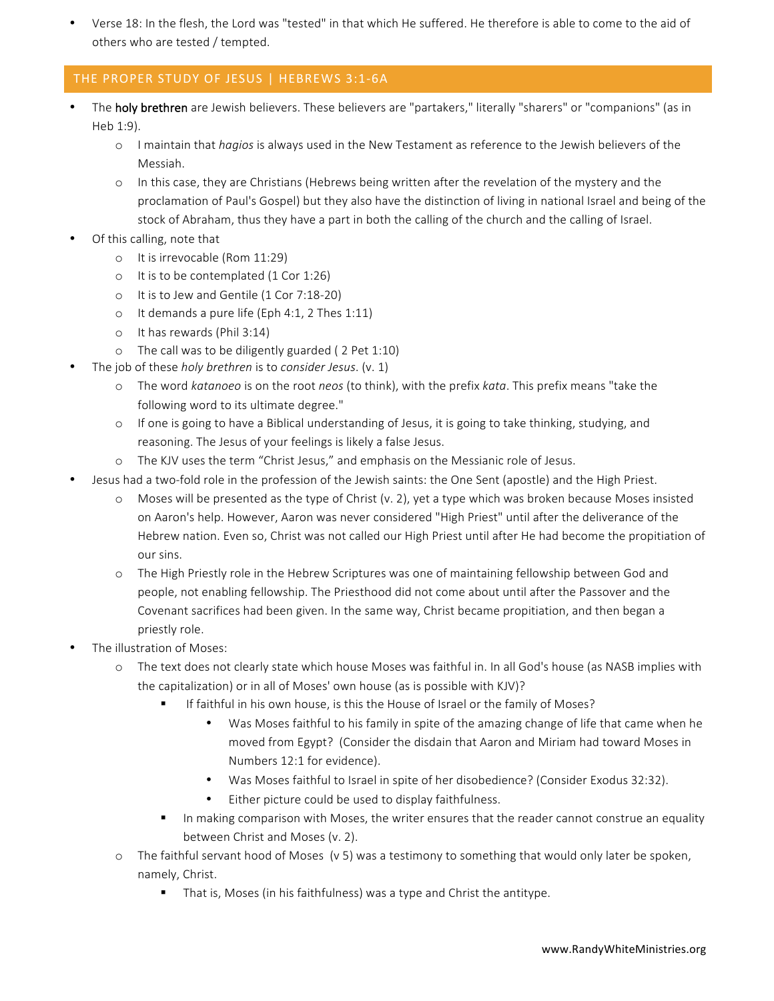Verse 18: In the flesh, the Lord was "tested" in that which He suffered. He therefore is able to come to the aid of others who are tested / tempted.

# THE PROPER STUDY OF JESUS | HEBREWS 3:1-6A

- The holy brethren are Jewish believers. These believers are "partakers," literally "sharers" or "companions" (as in Heb 1:9).
	- o I maintain that *hagios* is always used in the New Testament as reference to the Jewish believers of the Messiah.
	- $\circ$  In this case, they are Christians (Hebrews being written after the revelation of the mystery and the proclamation of Paul's Gospel) but they also have the distinction of living in national Israel and being of the stock of Abraham, thus they have a part in both the calling of the church and the calling of Israel.
- Of this calling, note that
	- o It is irrevocable (Rom 11:29)
	- $\circ$  It is to be contemplated (1 Cor 1:26)
	- o It is to Jew and Gentile (1 Cor 7:18-20)
	- $\circ$  It demands a pure life (Eph 4:1, 2 Thes 1:11)
	- o It has rewards (Phil 3:14)
	- $\circ$  The call was to be diligently guarded ( 2 Pet 1:10)
- The job of these *holy brethren* is to *consider Jesus*. (v. 1)
	- o The word *katanoeo* is on the root *neos* (to think), with the prefix *kata*. This prefix means "take the following word to its ultimate degree."
	- o If one is going to have a Biblical understanding of Jesus, it is going to take thinking, studying, and reasoning. The Jesus of your feelings is likely a false Jesus.
	- o The KJV uses the term "Christ Jesus," and emphasis on the Messianic role of Jesus.
- Jesus had a two-fold role in the profession of the Jewish saints: the One Sent (apostle) and the High Priest.
	- $\circ$  Moses will be presented as the type of Christ (v. 2), yet a type which was broken because Moses insisted on Aaron's help. However, Aaron was never considered "High Priest" until after the deliverance of the Hebrew nation. Even so, Christ was not called our High Priest until after He had become the propitiation of our sins.
	- o The High Priestly role in the Hebrew Scriptures was one of maintaining fellowship between God and people, not enabling fellowship. The Priesthood did not come about until after the Passover and the Covenant sacrifices had been given. In the same way, Christ became propitiation, and then began a priestly role.
- The illustration of Moses:
	- o The text does not clearly state which house Moses was faithful in. In all God's house (as NASB implies with the capitalization) or in all of Moses' own house (as is possible with KJV)?
		- If faithful in his own house, is this the House of Israel or the family of Moses?
			- Was Moses faithful to his family in spite of the amazing change of life that came when he moved from Egypt? (Consider the disdain that Aaron and Miriam had toward Moses in Numbers 12:1 for evidence).
			- Was Moses faithful to Israel in spite of her disobedience? (Consider Exodus 32:32).
			- Either picture could be used to display faithfulness.
		- In making comparison with Moses, the writer ensures that the reader cannot construe an equality between Christ and Moses (v. 2).
	- $\circ$  The faithful servant hood of Moses (v 5) was a testimony to something that would only later be spoken, namely, Christ.
		- That is, Moses (in his faithfulness) was a type and Christ the antitype.